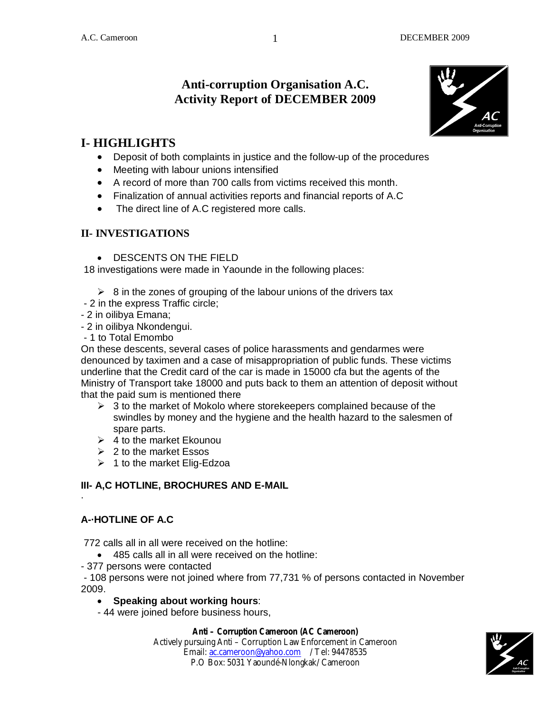# **Anti-corruption Organisation A.C. Activity Report of DECEMBER 2009**



# **I- HIGHLIGHTS**

- Deposit of both complaints in justice and the follow-up of the procedures
- Meeting with labour unions intensified
- A record of more than 700 calls from victims received this month.
- Finalization of annual activities reports and financial reports of A.C
- The direct line of A.C registered more calls.

## **II- INVESTIGATIONS**

DESCENTS ON THE FIELD

18 investigations were made in Yaounde in the following places:

- $\triangleright$  8 in the zones of grouping of the labour unions of the drivers tax
- 2 in the express Traffic circle;
- 2 in oilibya Emana;
- 2 in oilibya Nkondengui.

- 1 to Total Emombo

On these descents, several cases of police harassments and gendarmes were denounced by taximen and a case of misappropriation of public funds. These victims underline that the Credit card of the car is made in 15000 cfa but the agents of the Ministry of Transport take 18000 and puts back to them an attention of deposit without that the paid sum is mentioned there

- $\triangleright$  3 to the market of Mokolo where storekeepers complained because of the swindles by money and the hygiene and the health hazard to the salesmen of spare parts.
- $\geq 4$  to the market Ekounou
- $\geq 2$  to the market Essos
- $\geq 1$  to the market Elig-Edzoa

# **III- A,C HOTLINE, BROCHURES AND E-MAIL**

#### **A-·HOTLINE OF A.C**

·

772 calls all in all were received on the hotline:

- 485 calls all in all were received on the hotline:
- 377 persons were contacted

- 108 persons were not joined where from 77,731 % of persons contacted in November 2009.

**Speaking about working hours**:

- 44 were joined before business hours,

#### **Anti – Corruption Cameroon (AC Cameroon)**

Actively pursuing Anti – Corruption Law Enforcement in Cameroon Email: ac.cameroon@yahoo.com / Tel: 94478535 P.O Box: 5031 Yaoundé-Nlongkak/ Cameroon



1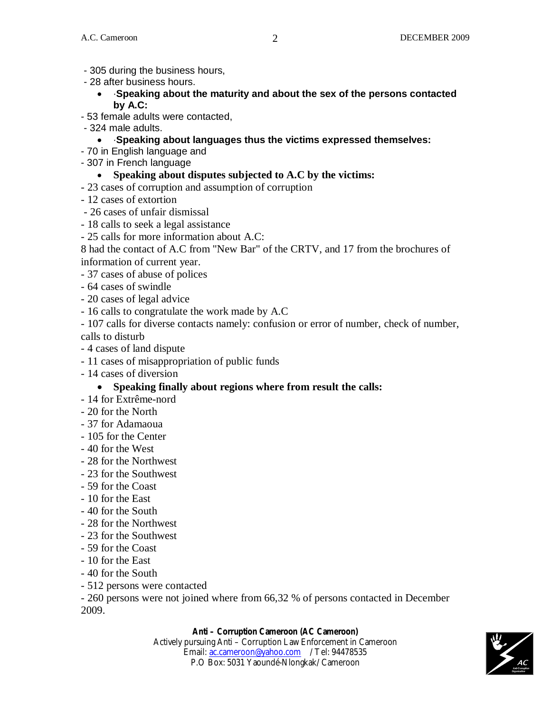- 305 during the business hours,
- 28 after business hours.
	- ·**Speaking about the maturity and about the sex of the persons contacted by A.C:**
- 53 female adults were contacted,
- 324 male adults.
	- ·**Speaking about languages thus the victims expressed themselves:**
- 70 in English language and
- 307 in French language
	- **Speaking about disputes subjected to A.C by the victims:**
- 23 cases of corruption and assumption of corruption
- 12 cases of extortion
- 26 cases of unfair dismissal
- 18 calls to seek a legal assistance
- 25 calls for more information about A.C:
- 8 had the contact of A.C from "New Bar" of the CRTV, and 17 from the brochures of information of current year.
- 37 cases of abuse of polices
- 64 cases of swindle
- 20 cases of legal advice
- 16 calls to congratulate the work made by A.C
- 107 calls for diverse contacts namely: confusion or error of number, check of number, calls to disturb
- 4 cases of land dispute
- 11 cases of misappropriation of public funds
- 14 cases of diversion

#### **Speaking finally about regions where from result the calls:**

- 14 for Extrême-nord
- 20 for the North
- 37 for Adamaoua
- 105 for the Center
- 40 for the West
- 28 for the Northwest
- 23 for the Southwest
- 59 for the Coast
- 10 for the East
- 40 for the South
- 28 for the Northwest
- 23 for the Southwest
- 59 for the Coast
- 10 for the East
- 40 for the South
- 512 persons were contacted

- 260 persons were not joined where from 66,32 % of persons contacted in December 2009.

#### **Anti – Corruption Cameroon (AC Cameroon)**

Actively pursuing Anti – Corruption Law Enforcement in Cameroon Email: ac.cameroon@yahoo.com / Tel: 94478535 P.O Box: 5031 Yaoundé-Nlongkak/ Cameroon

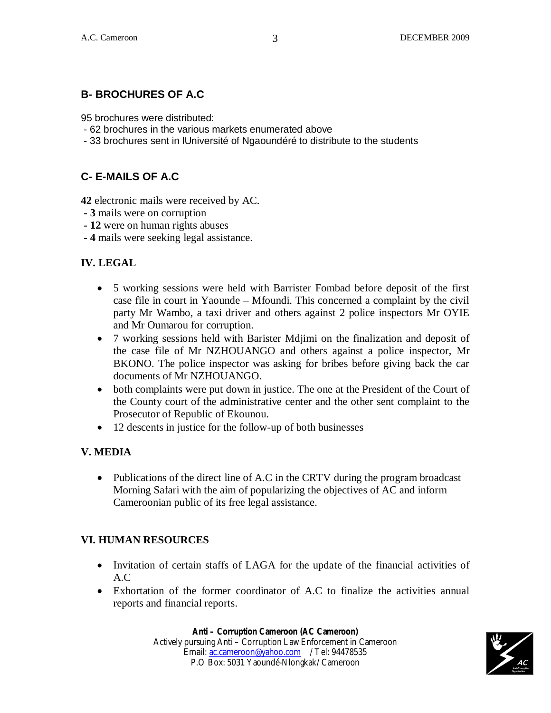# **B- BROCHURES OF A.C**

95 brochures were distributed:

- 62 brochures in the various markets enumerated above
- 33 brochures sent in lUniversité of Ngaoundéré to distribute to the students

# **C- E-MAILS OF A.C**

**42** electronic mails were received by AC.

- **3** mails were on corruption
- **12** were on human rights abuses
- **4** mails were seeking legal assistance.

## **IV. LEGAL**

- 5 working sessions were held with Barrister Fombad before deposit of the first case file in court in Yaounde – Mfoundi. This concerned a complaint by the civil party Mr Wambo, a taxi driver and others against 2 police inspectors Mr OYIE and Mr Oumarou for corruption.
- 7 working sessions held with Barister Mdjimi on the finalization and deposit of the case file of Mr NZHOUANGO and others against a police inspector, Mr BKONO. The police inspector was asking for bribes before giving back the car documents of Mr NZHOUANGO.
- both complaints were put down in justice. The one at the President of the Court of the County court of the administrative center and the other sent complaint to the Prosecutor of Republic of Ekounou.
- 12 descents in justice for the follow-up of both businesses

#### **V. MEDIA**

• Publications of the direct line of A.C in the CRTV during the program broadcast Morning Safari with the aim of popularizing the objectives of AC and inform Cameroonian public of its free legal assistance.

#### **VI. HUMAN RESOURCES**

- Invitation of certain staffs of LAGA for the update of the financial activities of A.C
- Exhortation of the former coordinator of A.C to finalize the activities annual reports and financial reports.

#### **Anti – Corruption Cameroon (AC Cameroon)**

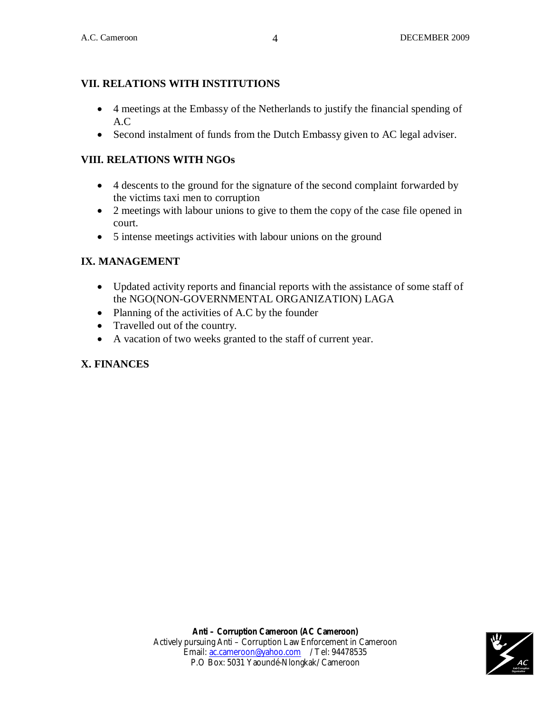## **VII. RELATIONS WITH INSTITUTIONS**

- 4 meetings at the Embassy of the Netherlands to justify the financial spending of A.C
- Second instalment of funds from the Dutch Embassy given to AC legal adviser.

#### **VIII. RELATIONS WITH NGOs**

- 4 descents to the ground for the signature of the second complaint forwarded by the victims taxi men to corruption
- 2 meetings with labour unions to give to them the copy of the case file opened in court.
- 5 intense meetings activities with labour unions on the ground

## **IX. MANAGEMENT**

- Updated activity reports and financial reports with the assistance of some staff of the NGO(NON-GOVERNMENTAL ORGANIZATION) LAGA
- Planning of the activities of A.C by the founder
- Travelled out of the country.
- A vacation of two weeks granted to the staff of current year.

#### **X. FINANCES**